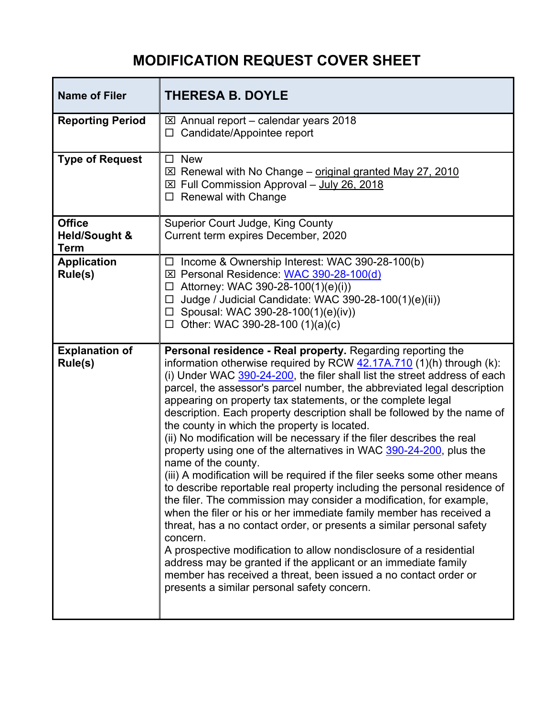## **MODIFICATION REQUEST COVER SHEET**

| <b>Name of Filer</b>                                     | <b>THERESA B. DOYLE</b>                                                                                                                                                                                                                                                                                                                                                                                                                                                                                                                                                                                                                                                                                                                                                                                                                                                                                                                                                                                                                                                                                                                                                                                                                                                                                            |
|----------------------------------------------------------|--------------------------------------------------------------------------------------------------------------------------------------------------------------------------------------------------------------------------------------------------------------------------------------------------------------------------------------------------------------------------------------------------------------------------------------------------------------------------------------------------------------------------------------------------------------------------------------------------------------------------------------------------------------------------------------------------------------------------------------------------------------------------------------------------------------------------------------------------------------------------------------------------------------------------------------------------------------------------------------------------------------------------------------------------------------------------------------------------------------------------------------------------------------------------------------------------------------------------------------------------------------------------------------------------------------------|
| <b>Reporting Period</b>                                  | $\boxtimes$ Annual report – calendar years 2018<br>Candidate/Appointee report<br>□                                                                                                                                                                                                                                                                                                                                                                                                                                                                                                                                                                                                                                                                                                                                                                                                                                                                                                                                                                                                                                                                                                                                                                                                                                 |
| <b>Type of Request</b>                                   | <b>New</b><br>$\Box$<br>⊠ Renewal with No Change - original granted May 27, 2010<br>⊠ Full Commission Approval - July 26, 2018<br><b>Renewal with Change</b>                                                                                                                                                                                                                                                                                                                                                                                                                                                                                                                                                                                                                                                                                                                                                                                                                                                                                                                                                                                                                                                                                                                                                       |
| <b>Office</b><br><b>Held/Sought &amp;</b><br><b>Term</b> | <b>Superior Court Judge, King County</b><br>Current term expires December, 2020                                                                                                                                                                                                                                                                                                                                                                                                                                                                                                                                                                                                                                                                                                                                                                                                                                                                                                                                                                                                                                                                                                                                                                                                                                    |
| <b>Application</b><br>Rule(s)                            | Income & Ownership Interest: WAC 390-28-100(b)<br>$\Box$<br>⊠ Personal Residence: WAC 390-28-100(d)<br>Attorney: WAC 390-28-100(1)(e)(i))<br>□<br>Judge / Judicial Candidate: WAC 390-28-100(1)(e)(ii))<br>□<br>$\Box$ Spousal: WAC 390-28-100(1)(e)(iv))<br>Other: WAC 390-28-100 (1)(a)(c)<br>□                                                                                                                                                                                                                                                                                                                                                                                                                                                                                                                                                                                                                                                                                                                                                                                                                                                                                                                                                                                                                  |
| <b>Explanation of</b><br>Rule(s)                         | Personal residence - Real property. Regarding reporting the<br>information otherwise required by RCW 42.17A.710 (1)(h) through (k):<br>(i) Under WAC 390-24-200, the filer shall list the street address of each<br>parcel, the assessor's parcel number, the abbreviated legal description<br>appearing on property tax statements, or the complete legal<br>description. Each property description shall be followed by the name of<br>the county in which the property is located.<br>(ii) No modification will be necessary if the filer describes the real<br>property using one of the alternatives in WAC 390-24-200, plus the<br>name of the county.<br>(iii) A modification will be required if the filer seeks some other means<br>to describe reportable real property including the personal residence of<br>the filer. The commission may consider a modification, for example,<br>when the filer or his or her immediate family member has received a<br>threat, has a no contact order, or presents a similar personal safety<br>concern.<br>A prospective modification to allow nondisclosure of a residential<br>address may be granted if the applicant or an immediate family<br>member has received a threat, been issued a no contact order or<br>presents a similar personal safety concern. |